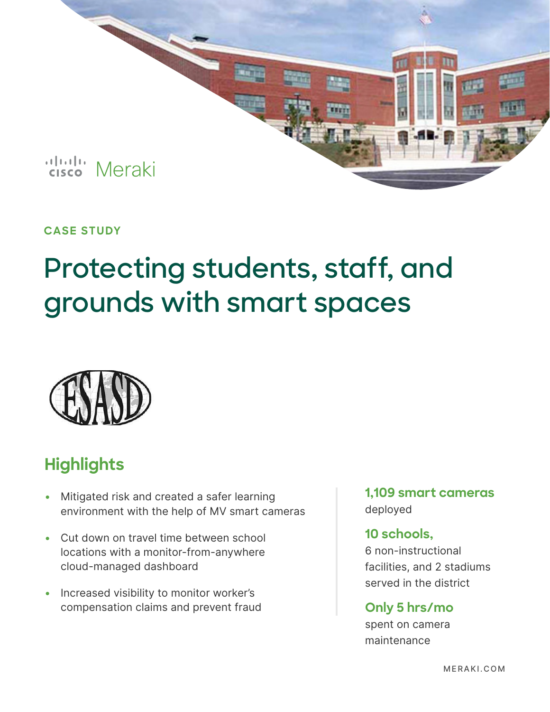

## **CASE STUDY**

# **Protecting students, staff, and grounds with smart spaces**



## **Highlights**

- Mitigated risk and created a safer learning environment with the help of MV smart cameras
- Cut down on travel time between school locations with a monitor-from-anywhere cloud-managed dashboard
- Increased visibility to monitor worker's compensation claims and prevent fraud

**1,109 smart cameras** deployed

### **10 schools,**

6 non-instructional facilities, and 2 stadiums served in the district

## **Only 5 hrs/mo**

spent on camera maintenance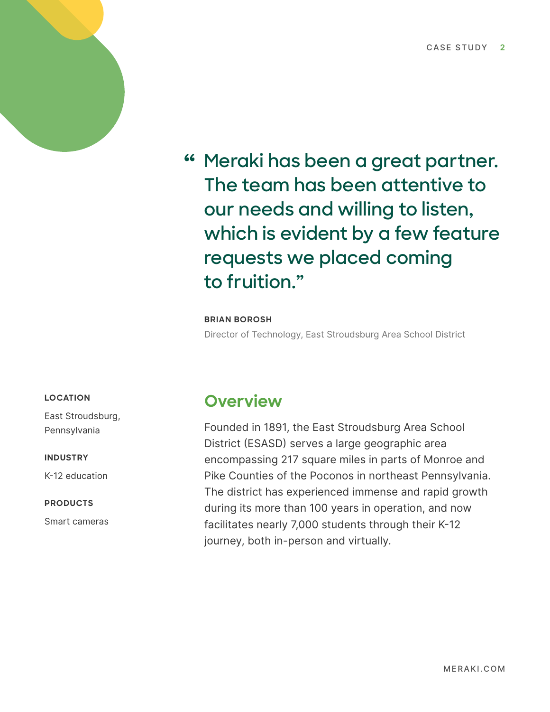

**Meraki has been a great partner. The team has been attentive to our needs and willing to listen, which is evident by a few feature requests we placed coming to fruition."**

#### **BRIAN BOROSH**

Director of Technology, East Stroudsburg Area School District

#### **LOCATION**

East Stroudsburg, Pennsylvania

#### **INDUSTRY**

K-12 education

#### **PRODUCTS**

Smart cameras

## **Overview**

Founded in 1891, the East Stroudsburg Area School District (ESASD) serves a large geographic area encompassing 217 square miles in parts of Monroe and Pike Counties of the Poconos in northeast Pennsylvania. The district has experienced immense and rapid growth during its more than 100 years in operation, and now facilitates nearly 7,000 students through their K-12 journey, both in-person and virtually.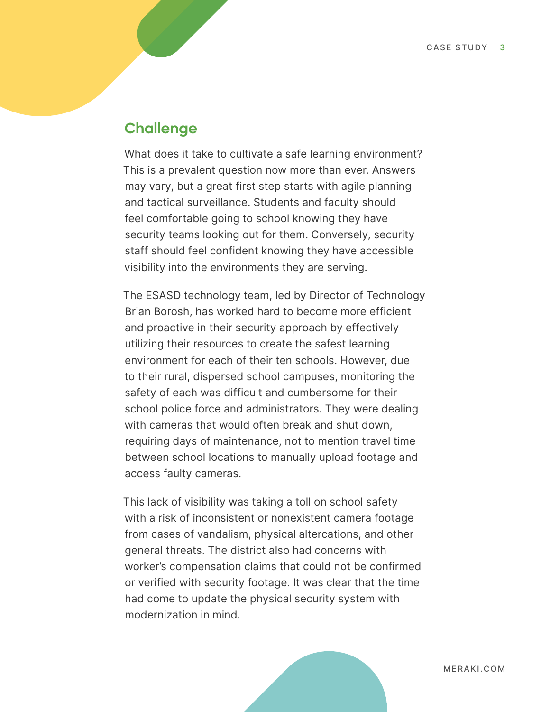## **Challenge**

What does it take to cultivate a safe learning environment? This is a prevalent question now more than ever. Answers may vary, but a great first step starts with agile planning and tactical surveillance. Students and faculty should feel comfortable going to school knowing they have security teams looking out for them. Conversely, security staff should feel confident knowing they have accessible visibility into the environments they are serving.

The ESASD technology team, led by Director of Technology Brian Borosh, has worked hard to become more efficient and proactive in their security approach by effectively utilizing their resources to create the safest learning environment for each of their ten schools. However, due to their rural, dispersed school campuses, monitoring the safety of each was difficult and cumbersome for their school police force and administrators. They were dealing with cameras that would often break and shut down, requiring days of maintenance, not to mention travel time between school locations to manually upload footage and access faulty cameras.

This lack of visibility was taking a toll on school safety with a risk of inconsistent or nonexistent camera footage from cases of vandalism, physical altercations, and other general threats. The district also had concerns with worker's compensation claims that could not be confirmed or verified with security footage. It was clear that the time had come to update the physical security system with modernization in mind.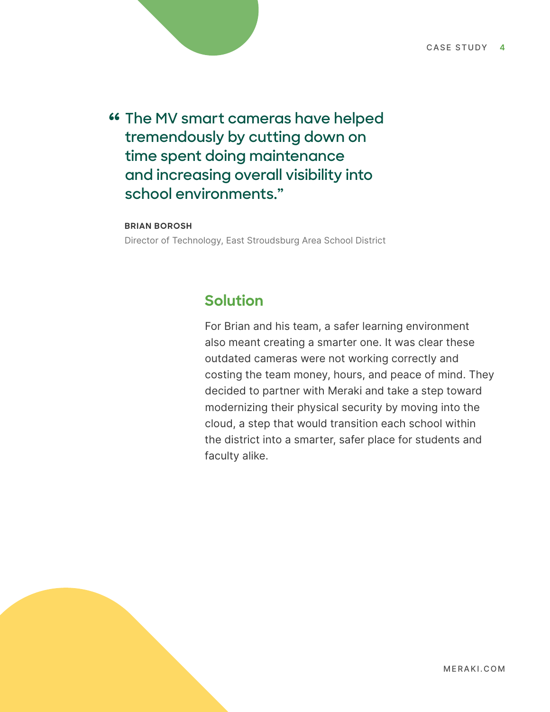**The MV smart cameras have helped tremendously by cutting down on time spent doing maintenance and increasing overall visibility into school environments."**

#### **BRIAN BOROSH**

Director of Technology, East Stroudsburg Area School District

## **Solution**

For Brian and his team, a safer learning environment also meant creating a smarter one. It was clear these outdated cameras were not working correctly and costing the team money, hours, and peace of mind. They decided to partner with Meraki and take a step toward modernizing their physical security by moving into the cloud, a step that would transition each school within the district into a smarter, safer place for students and faculty alike.

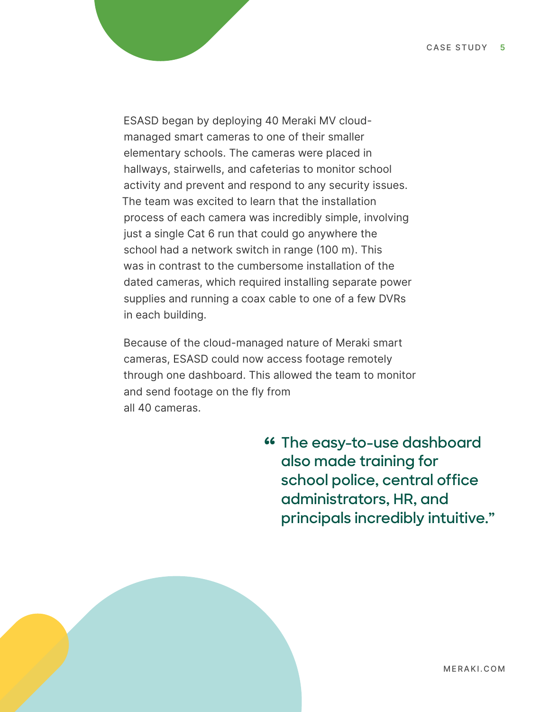ESASD began by deploying 40 Meraki MV cloudmanaged smart cameras to one of their smaller elementary schools. The cameras were placed in hallways, stairwells, and cafeterias to monitor school activity and prevent and respond to any security issues. The team was excited to learn that the installation process of each camera was incredibly simple, involving just a single Cat 6 run that could go anywhere the school had a network switch in range (100 m). This was in contrast to the cumbersome installation of the dated cameras, which required installing separate power supplies and running a coax cable to one of a few DVRs in each building.

Because of the cloud-managed nature of Meraki smart cameras, ESASD could now access footage remotely through one dashboard. This allowed the team to monitor and send footage on the fly from all 40 cameras.

> **The easy-to-use dashboard also made training for school police, central office administrators, HR, and principals incredibly intuitive."**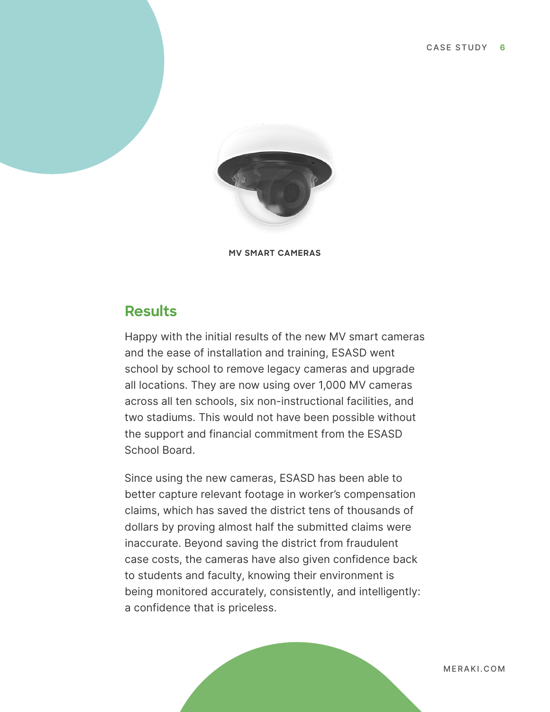

**MV SMART CAMERAS**

## **Results**

Happy with the initial results of the new MV smart cameras and the ease of installation and training, ESASD went school by school to remove legacy cameras and upgrade all locations. They are now using over 1,000 MV cameras across all ten schools, six non-instructional facilities, and two stadiums. This would not have been possible without the support and financial commitment from the ESASD School Board.

Since using the new cameras, ESASD has been able to better capture relevant footage in worker's compensation claims, which has saved the district tens of thousands of dollars by proving almost half the submitted claims were inaccurate. Beyond saving the district from fraudulent case costs, the cameras have also given confidence back to students and faculty, knowing their environment is being monitored accurately, consistently, and intelligently: a confidence that is priceless.